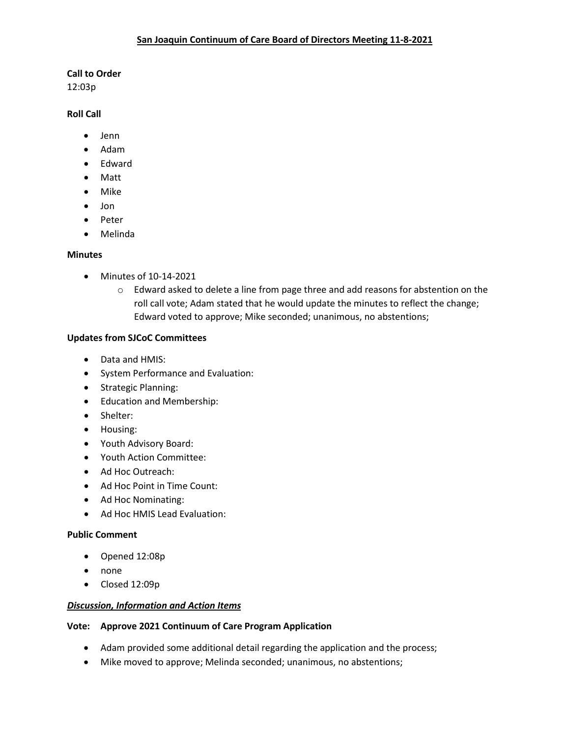### **Call to Order**

12:03p

## **Roll Call**

- Jenn
- Adam
- Edward
- Matt
- Mike
- Jon
- Peter
- Melinda

## **Minutes**

- Minutes of 10-14-2021
	- o Edward asked to delete a line from page three and add reasons for abstention on the roll call vote; Adam stated that he would update the minutes to reflect the change; Edward voted to approve; Mike seconded; unanimous, no abstentions;

## **Updates from SJCoC Committees**

- Data and HMIS:
- System Performance and Evaluation:
- Strategic Planning:
- Education and Membership:
- Shelter:
- Housing:
- Youth Advisory Board:
- Youth Action Committee:
- Ad Hoc Outreach:
- Ad Hoc Point in Time Count:
- Ad Hoc Nominating:
- Ad Hoc HMIS Lead Evaluation:

### **Public Comment**

- Opened 12:08p
- none
- Closed 12:09p

### *Discussion, Information and Action Items*

### **Vote: Approve 2021 Continuum of Care Program Application**

- Adam provided some additional detail regarding the application and the process;
- Mike moved to approve; Melinda seconded; unanimous, no abstentions;